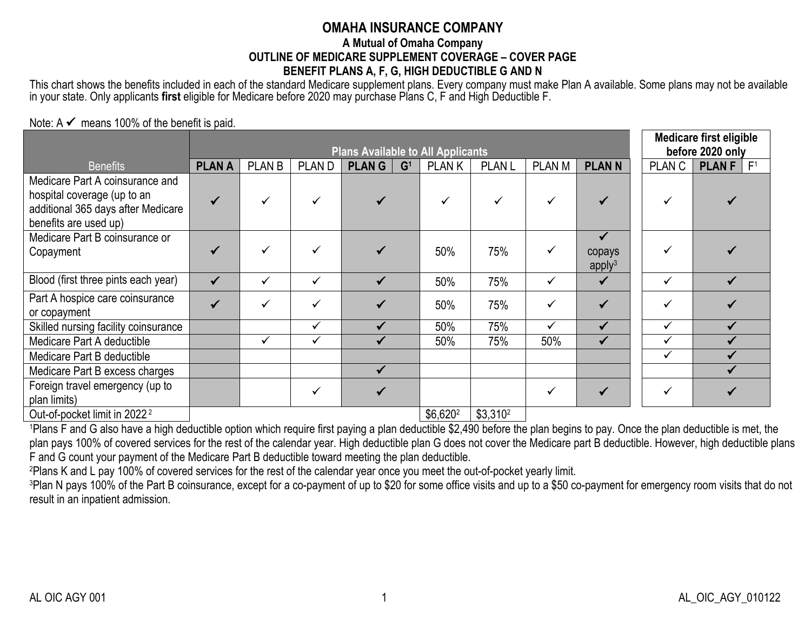# **OMAHA INSURANCE COMPANY**

#### **A Mutual of Omaha Company OUTLINE OF MEDICARE SUPPLEMENT COVERAGE – COVER PAGE BENEFIT PLANS A, F, G, HIGH DEDUCTIBLE G AND N**

This chart shows the benefits included in each of the standard Medicare supplement plans. Every company must make Plan A available. Some plans may not be available in your state. Only applicants **first** eligible for Medicare before 2020 may purchase Plans C, F and High Deductible F.

#### Note:  $A \nleq m$ eans 100% of the benefit is paid.

|                                                                                                                               |               | <b>Plans Available to All Applicants</b> |              |                                |              |               |               |                                              |              | <b>Medicare first eligible</b><br>before 2020 only |  |
|-------------------------------------------------------------------------------------------------------------------------------|---------------|------------------------------------------|--------------|--------------------------------|--------------|---------------|---------------|----------------------------------------------|--------------|----------------------------------------------------|--|
| <b>Benefits</b>                                                                                                               | <b>PLAN A</b> | <b>PLAN B</b>                            | <b>PLAND</b> | <b>PLANG</b><br>G <sup>1</sup> | <b>PLANK</b> | <b>PLAN L</b> | <b>PLAN M</b> | <b>PLANN</b>                                 | <b>PLANC</b> | <b>PLAN F</b> $ F^1 $                              |  |
| Medicare Part A coinsurance and<br>hospital coverage (up to an<br>additional 365 days after Medicare<br>benefits are used up) |               |                                          |              |                                |              | ✓             |               |                                              |              |                                                    |  |
| Medicare Part B coinsurance or<br>Copayment                                                                                   |               |                                          |              |                                | 50%          | 75%           | $\checkmark$  | $\checkmark$<br>copays<br>apply <sup>3</sup> |              |                                                    |  |
| Blood (first three pints each year)                                                                                           | $\checkmark$  | ✓                                        | ✓            | ✔                              | 50%          | 75%           | $\checkmark$  | $\checkmark$                                 | ✓            |                                                    |  |
| Part A hospice care coinsurance<br>or copayment                                                                               |               |                                          |              |                                | 50%          | 75%           | ✓             |                                              | ✓            |                                                    |  |
| Skilled nursing facility coinsurance                                                                                          |               |                                          | ✓            |                                | 50%          | 75%           | ✓             | $\checkmark$                                 | $\checkmark$ |                                                    |  |
| Medicare Part A deductible                                                                                                    |               | ✓                                        | ✓            |                                | 50%          | 75%           | 50%           | $\checkmark$                                 | $\checkmark$ |                                                    |  |
| Medicare Part B deductible                                                                                                    |               |                                          |              |                                |              |               |               |                                              | $\checkmark$ |                                                    |  |
| Medicare Part B excess charges                                                                                                |               |                                          |              |                                |              |               |               |                                              |              |                                                    |  |
| Foreign travel emergency (up to<br>plan limits)<br>Out of pocket limit in 2022                                                |               |                                          |              |                                | $Re$ $620$   | C23102        |               |                                              | $\checkmark$ |                                                    |  |

 $\text{Out-of-pocket limit in } 2022^2$   $\text{S3,310}^2$   $\text{S4,510}^2$ <sup>1</sup>Plans F and G also have a high deductible option which require first paying a plan deductible \$2,490 before the plan begins to pay. Once the plan deductible is met, the plan pays 100% of covered services for the rest of the calendar year. High deductible plan G does not cover the Medicare part B deductible. However, high deductible plans

F and G count your payment of the Medicare Part B deductible toward meeting the plan deductible.

<sup>2</sup>Plans K and L pay 100% of covered services for the rest of the calendar year once you meet the out-of-pocket yearly limit.

<sup>3</sup>Plan N pays 100% of the Part B coinsurance, except for a co-payment of up to \$20 for some office visits and up to a \$50 co-payment for emergency room visits that do not result in an inpatient admission.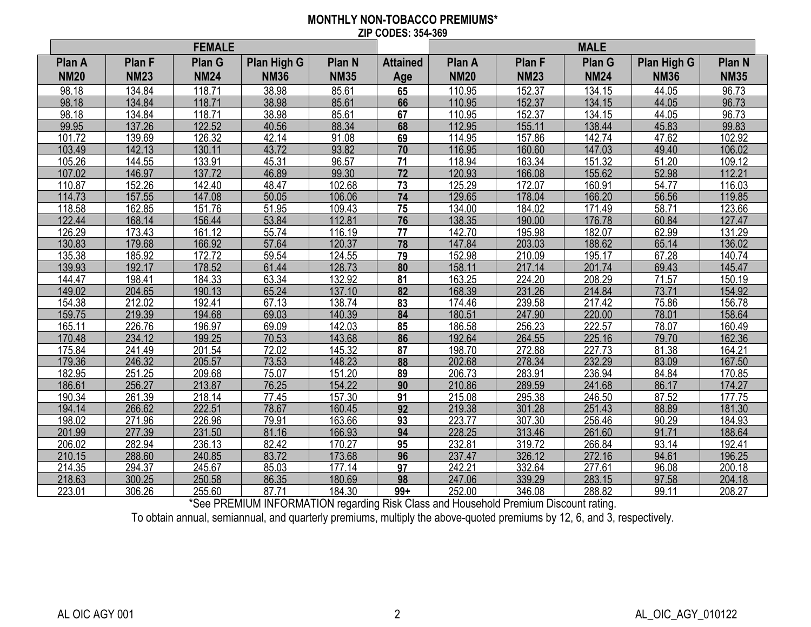#### **MONTHLY NON-TOBACCO PREMIUMS\* ZIP CODES: 354-369**

|             | <b>FEMALE</b> |             |             |               |                 | <b>MALE</b> |               |               |             |               |
|-------------|---------------|-------------|-------------|---------------|-----------------|-------------|---------------|---------------|-------------|---------------|
| Plan A      | <b>Plan F</b> | Plan G      | Plan High G | <b>Plan N</b> | <b>Attained</b> | Plan A      | <b>Plan F</b> | <b>Plan G</b> | Plan High G | <b>Plan N</b> |
| <b>NM20</b> | <b>NM23</b>   | <b>NM24</b> | <b>NM36</b> | <b>NM35</b>   | Age             | <b>NM20</b> | <b>NM23</b>   | <b>NM24</b>   | <b>NM36</b> | <b>NM35</b>   |
| 98.18       | 134.84        | 118.71      | 38.98       | 85.61         | 65              | 110.95      | 152.37        | 134.15        | 44.05       | 96.73         |
| 98.18       | 134.84        | 118.71      | 38.98       | 85.61         | 66              | 110.95      | 152.37        | 134.15        | 44.05       | 96.73         |
| 98.18       | 134.84        | 118.71      | 38.98       | 85.61         | 67              | 110.95      | 152.37        | 134.15        | 44.05       | 96.73         |
| 99.95       | 137.26        | 122.52      | 40.56       | 88.34         | 68              | 112.95      | 155.11        | 138.44        | 45.83       | 99.83         |
| 101.72      | 139.69        | 126.32      | 42.14       | 91.08         | 69              | 114.95      | 157.86        | 142.74        | 47.62       | 102.92        |
| 103.49      | 142.13        | 130.11      | 43.72       | 93.82         | $\overline{70}$ | 116.95      | 160.60        | 147.03        | 49.40       | 106.02        |
| 105.26      | 144.55        | 133.91      | 45.31       | 96.57         | 71              | 118.94      | 163.34        | 151.32        | 51.20       | 109.12        |
| 107.02      | 146.97        | 137.72      | 46.89       | 99.30         | 72              | 120.93      | 166.08        | 155.62        | 52.98       | 112.21        |
| 110.87      | 152.26        | 142.40      | 48.47       | 102.68        | 73              | 125.29      | 172.07        | 160.91        | 54.77       | 116.03        |
| 114.73      | 157.55        | 147.08      | 50.05       | 106.06        | 74              | 129.65      | 178.04        | 166.20        | 56.56       | 119.85        |
| 118.58      | 162.85        | 151.76      | 51.95       | 109.43        | 75              | 134.00      | 184.02        | 171.49        | 58.71       | 123.66        |
| 122.44      | 168.14        | 156.44      | 53.84       | 112.81        | 76              | 138.35      | 190.00        | 176.78        | 60.84       | 127.47        |
| 126.29      | 173.43        | 161.12      | 55.74       | 116.19        | 77              | 142.70      | 195.98        | 182.07        | 62.99       | 131.29        |
| 130.83      | 179.68        | 166.92      | 57.64       | 120.37        | 78              | 147.84      | 203.03        | 188.62        | 65.14       | 136.02        |
| 135.38      | 185.92        | 172.72      | 59.54       | 124.55        | 79              | 152.98      | 210.09        | 195.17        | 67.28       | 140.74        |
| 139.93      | 192.17        | 178.52      | 61.44       | 128.73        | 80              | 158.11      | 217.14        | 201.74        | 69.43       | 145.47        |
| 144.47      | 198.41        | 184.33      | 63.34       | 132.92        | 81              | 163.25      | 224.20        | 208.29        | 71.57       | 150.19        |
| 149.02      | 204.65        | 190.13      | 65.24       | 137.10        | 82              | 168.39      | 231.26        | 214.84        | 73.71       | 154.92        |
| 154.38      | 212.02        | 192.41      | 67.13       | 138.74        | 83              | 174.46      | 239.58        | 217.42        | 75.86       | 156.78        |
| 159.75      | 219.39        | 194.68      | 69.03       | 140.39        | 84              | 180.51      | 247.90        | 220.00        | 78.01       | 158.64        |
| 165.11      | 226.76        | 196.97      | 69.09       | 142.03        | 85              | 186.58      | 256.23        | 222.57        | 78.07       | 160.49        |
| 170.48      | 234.12        | 199.25      | 70.53       | 143.68        | 86              | 192.64      | 264.55        | 225.16        | 79.70       | 162.36        |
| 175.84      | 241.49        | 201.54      | 72.02       | 145.32        | 87              | 198.70      | 272.88        | 227.73        | 81.38       | 164.21        |
| 179.36      | 246.32        | 205.57      | 73.53       | 148.23        | 88              | 202.68      | 278.34        | 232.29        | 83.09       | 167.50        |
| 182.95      | 251.25        | 209.68      | 75.07       | 151.20        | 89              | 206.73      | 283.91        | 236.94        | 84.84       | 170.85        |
| 186.61      | 256.27        | 213.87      | 76.25       | 154.22        | 90              | 210.86      | 289.59        | 241.68        | 86.17       | 174.27        |
| 190.34      | 261.39        | 218.14      | 77.45       | 157.30        | 91              | 215.08      | 295.38        | 246.50        | 87.52       | 177.75        |
| 194.14      | 266.62        | 222.51      | 78.67       | 160.45        | 92              | 219.38      | 301.28        | 251.43        | 88.89       | 181.30        |
| 198.02      | 271.96        | 226.96      | 79.91       | 163.66        | 93              | 223.77      | 307.30        | 256.46        | 90.29       | 184.93        |
| 201.99      | 277.39        | 231.50      | 81.16       | 166.93        | 94              | 228.25      | 313.46        | 261.60        | 91.71       | 188.64        |
| 206.02      | 282.94        | 236.13      | 82.42       | 170.27        | 95              | 232.81      | 319.72        | 266.84        | 93.14       | 192.41        |
| 210.15      | 288.60        | 240.85      | 83.72       | 173.68        | 96              | 237.47      | 326.12        | 272.16        | 94.61       | 196.25        |
| 214.35      | 294.37        | 245.67      | 85.03       | 177.14        | 97              | 242.21      | 332.64        | 277.61        | 96.08       | 200.18        |
| 218.63      | 300.25        | 250.58      | 86.35       | 180.69        | 98              | 247.06      | 339.29        | 283.15        | 97.58       | 204.18        |
| 223.01      | 306.26        | 255.60      | 87.71       | 184.30        | $99+$           | 252.00      | 346.08        | 288.82        | 99.11       | 208.27        |

\*See PREMIUM INFORMATION regarding Risk Class and Household Premium Discount rating.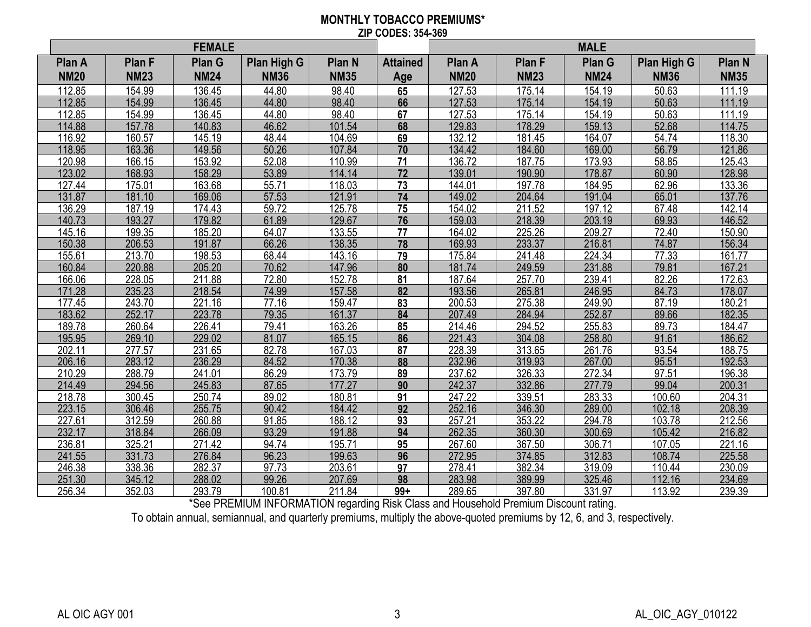#### **MONTHLY TOBACCO PREMIUMS\* ZIP CODES: 354-369**

| <b>FEMALE</b>         |                       |                              |                            |                              |                        | <b>MALE</b>           |                              |                              |                            |                                  |
|-----------------------|-----------------------|------------------------------|----------------------------|------------------------------|------------------------|-----------------------|------------------------------|------------------------------|----------------------------|----------------------------------|
| Plan A<br><b>NM20</b> | Plan F<br><b>NM23</b> | <b>Plan G</b><br><b>NM24</b> | Plan High G<br><b>NM36</b> | <b>Plan N</b><br><b>NM35</b> | <b>Attained</b><br>Age | Plan A<br><b>NM20</b> | <b>Plan F</b><br><b>NM23</b> | <b>Plan G</b><br><b>NM24</b> | Plan High G<br><b>NM36</b> | Plan <sub>N</sub><br><b>NM35</b> |
| 112.85                | 154.99                | 136.45                       | 44.80                      | 98.40                        | 65                     | 127.53                | 175.14                       | 154.19                       | 50.63                      | 111.19                           |
| 112.85                | 154.99                | 136.45                       | 44.80                      | 98.40                        | 66                     | 127.53                | 175.14                       | 154.19                       | 50.63                      | 111.19                           |
| 112.85                | 154.99                | 136.45                       | 44.80                      | 98.40                        | 67                     | 127.53                | 175.14                       | 154.19                       | 50.63                      | 111.19                           |
| 114.88                | 157.78                | 140.83                       | 46.62                      | 101.54                       | 68                     | 129.83                | 178.29                       | 159.13                       | 52.68                      | 114.75                           |
| 116.92                | 160.57                | 145.19                       | 48.44                      | 104.69                       | 69                     | 132.12                | 181.45                       | 164.07                       | 54.74                      | 118.30                           |
| 118.95                | 163.36                | 149.56                       | 50.26                      | 107.84                       | $\overline{70}$        | 134.42                | 184.60                       | 169.00                       | 56.79                      | 121.86                           |
| 120.98                | 166.15                | 153.92                       | 52.08                      | 110.99                       | 71                     | 136.72                | 187.75                       | 173.93                       | 58.85                      | 125.43                           |
| 123.02                | 168.93                | 158.29                       | 53.89                      | 114.14                       | 72                     | 139.01                | 190.90                       | 178.87                       | 60.90                      | 128.98                           |
| 127.44                | 175.01                | 163.68                       | 55.71                      | 118.03                       | 73                     | 144.01                | 197.78                       | 184.95                       | 62.96                      | 133.36                           |
| 131.87                | 181.10                | 169.06                       | 57.53                      | 121.91                       | 74                     | 149.02                | 204.64                       | 191.04                       | 65.01                      | 137.76                           |
| 136.29                | 187.19                | 174.43                       | 59.72                      | 125.78                       | 75                     | 154.02                | 211.52                       | 197.12                       | 67.48                      | 142.14                           |
| 140.73                | 193.27                | 179.82                       | 61.89                      | 129.67                       | 76                     | 159.03                | 218.39                       | 203.19                       | 69.93                      | 146.52                           |
| 145.16                | 199.35                | 185.20                       | 64.07                      | 133.55                       | 77                     | 164.02                | 225.26                       | 209.27                       | 72.40                      | 150.90                           |
| 150.38                | 206.53                | 191.87                       | 66.26                      | 138.35                       | 78                     | 169.93                | 233.37                       | 216.81                       | 74.87                      | 156.34                           |
| 155.61                | 213.70                | 198.53                       | 68.44                      | 143.16                       | 79                     | 175.84                | 241.48                       | 224.34                       | 77.33                      | 161.77                           |
| 160.84                | 220.88                | 205.20                       | 70.62                      | 147.96                       | 80                     | 181.74                | 249.59                       | 231.88                       | 79.81                      | 167.21                           |
| 166.06                | 228.05                | 211.88                       | 72.80                      | 152.78                       | 81                     | 187.64                | 257.70                       | 239.41                       | 82.26                      | 172.63                           |
| 171.28                | 235.23                | 218.54                       | 74.99                      | 157.58                       | $\overline{82}$        | 193.56                | 265.81                       | 246.95                       | 84.73                      | 178.07                           |
| 177.45                | 243.70                | 221.16                       | 77.16                      | 159.47                       | 83                     | 200.53                | 275.38                       | 249.90                       | 87.19                      | 180.21                           |
| 183.62                | 252.17                | 223.78                       | 79.35                      | 161.37                       | 84                     | 207.49                | 284.94                       | 252.87                       | 89.66                      | 182.35                           |
| 189.78                | 260.64                | 226.41                       | 79.41                      | 163.26                       | 85                     | 214.46                | 294.52                       | 255.83                       | 89.73                      | 184.47                           |
| 195.95                | 269.10                | 229.02                       | 81.07                      | 165.15                       | 86                     | 221.43                | 304.08                       | 258.80                       | 91.61                      | 186.62                           |
| 202.11                | 277.57                | 231.65                       | 82.78                      | 167.03                       | 87                     | 228.39                | 313.65                       | 261.76                       | 93.54                      | 188.75                           |
| 206.16                | 283.12                | 236.29                       | 84.52                      | 170.38                       | 88                     | 232.96                | 319.93                       | 267.00                       | 95.51                      | 192.53                           |
| 210.29                | 288.79                | 241.01                       | 86.29                      | 173.79                       | 89                     | 237.62                | 326.33                       | 272.34                       | 97.51                      | 196.38                           |
| 214.49                | 294.56                | 245.83                       | 87.65                      | 177.27                       | 90                     | 242.37                | 332.86                       | 277.79                       | 99.04                      | 200.31                           |
| 218.78                | 300.45                | 250.74                       | 89.02                      | 180.81                       | 91                     | 247.22                | 339.51                       | 283.33                       | 100.60                     | 204.31                           |
| 223.15                | 306.46                | 255.75                       | 90.42                      | 184.42                       | 92                     | 252.16                | 346.30                       | 289.00                       | 102.18                     | 208.39                           |
| 227.61                | 312.59                | 260.88                       | 91.85                      | 188.12                       | 93                     | 257.21                | 353.22                       | 294.78                       | 103.78                     | 212.56                           |
| 232.17                | 318.84                | 266.09                       | 93.29                      | 191.88                       | 94                     | 262.35                | 360.30                       | 300.69                       | 105.42                     | 216.82                           |
| 236.81                | 325.21                | 271.42                       | 94.74                      | 195.71                       | 95                     | 267.60                | 367.50                       | 306.71                       | 107.05                     | 221.16                           |
| 241.55                | 331.73                | 276.84                       | 96.23                      | 199.63                       | 96                     | 272.95                | 374.85                       | 312.83                       | 108.74                     | 225.58                           |
| 246.38                | 338.36                | 282.37                       | 97.73                      | 203.61                       | 97                     | 278.41                | 382.34                       | 319.09                       | 110.44                     | 230.09                           |
| 251.30                | 345.12                | 288.02                       | 99.26                      | 207.69                       | 98                     | 283.98                | 389.99                       | 325.46                       | 112.16                     | 234.69                           |
| 256.34                | 352.03                | 293.79                       | 100.81                     | 211.84                       | $99+$                  | 289.65                | 397.80                       | 331.97                       | 113.92                     | 239.39                           |

\*See PREMIUM INFORMATION regarding Risk Class and Household Premium Discount rating.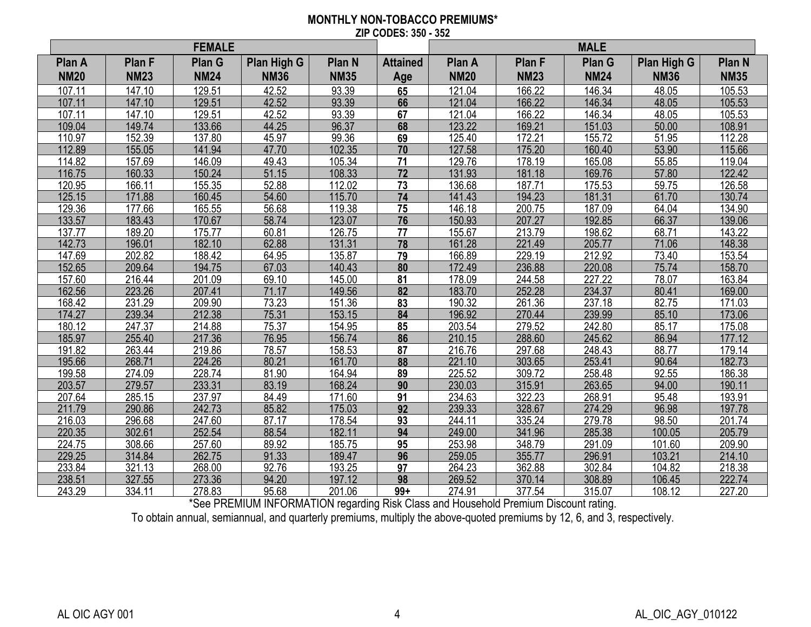#### **MONTHLY NON-TOBACCO PREMIUMS\* ZIP CODES: 350 - 352**

| <b>FEMALE</b> |             |             |             |               |                 | <b>MALE</b> |               |               |             |                   |
|---------------|-------------|-------------|-------------|---------------|-----------------|-------------|---------------|---------------|-------------|-------------------|
| Plan A        | Plan F      | Plan G      | Plan High G | <b>Plan N</b> | <b>Attained</b> | Plan A      | <b>Plan F</b> | <b>Plan G</b> | Plan High G | Plan <sub>N</sub> |
| <b>NM20</b>   | <b>NM23</b> | <b>NM24</b> | <b>NM36</b> | <b>NM35</b>   | Age             | <b>NM20</b> | <b>NM23</b>   | <b>NM24</b>   | <b>NM36</b> | <b>NM35</b>       |
| 107.11        | 147.10      | 129.51      | 42.52       | 93.39         | 65              | 121.04      | 166.22        | 146.34        | 48.05       | 105.53            |
| 107.11        | 147.10      | 129.51      | 42.52       | 93.39         | 66              | 121.04      | 166.22        | 146.34        | 48.05       | 105.53            |
| 107.11        | 147.10      | 129.51      | 42.52       | 93.39         | 67              | 121.04      | 166.22        | 146.34        | 48.05       | 105.53            |
| 109.04        | 149.74      | 133.66      | 44.25       | 96.37         | 68              | 123.22      | 169.21        | 151.03        | 50.00       | 108.91            |
| 110.97        | 152.39      | 137.80      | 45.97       | 99.36         | 69              | 125.40      | 172.21        | 155.72        | 51.95       | 112.28            |
| 112.89        | 155.05      | 141.94      | 47.70       | 102.35        | $\overline{70}$ | 127.58      | 175.20        | 160.40        | 53.90       | 115.66            |
| 114.82        | 157.69      | 146.09      | 49.43       | 105.34        | 71              | 129.76      | 178.19        | 165.08        | 55.85       | 119.04            |
| 116.75        | 160.33      | 150.24      | 51.15       | 108.33        | 72              | 131.93      | 181.18        | 169.76        | 57.80       | 122.42            |
| 120.95        | 166.11      | 155.35      | 52.88       | 112.02        | 73              | 136.68      | 187.71        | 175.53        | 59.75       | 126.58            |
| 125.15        | 171.88      | 160.45      | 54.60       | 115.70        | 74              | 141.43      | 194.23        | 181.31        | 61.70       | 130.74            |
| 129.36        | 177.66      | 165.55      | 56.68       | 119.38        | 75              | 146.18      | 200.75        | 187.09        | 64.04       | 134.90            |
| 133.57        | 183.43      | 170.67      | 58.74       | 123.07        | 76              | 150.93      | 207.27        | 192.85        | 66.37       | 139.06            |
| 137.77        | 189.20      | 175.77      | 60.81       | 126.75        | 77              | 155.67      | 213.79        | 198.62        | 68.71       | 143.22            |
| 142.73        | 196.01      | 182.10      | 62.88       | 131.31        | 78              | 161.28      | 221.49        | 205.77        | 71.06       | 148.38            |
| 147.69        | 202.82      | 188.42      | 64.95       | 135.87        | 79              | 166.89      | 229.19        | 212.92        | 73.40       | 153.54            |
| 152.65        | 209.64      | 194.75      | 67.03       | 140.43        | 80              | 172.49      | 236.88        | 220.08        | 75.74       | 158.70            |
| 157.60        | 216.44      | 201.09      | 69.10       | 145.00        | 81              | 178.09      | 244.58        | 227.22        | 78.07       | 163.84            |
| 162.56        | 223.26      | 207.41      | 71.17       | 149.56        | 82              | 183.70      | 252.28        | 234.37        | 80.41       | 169.00            |
| 168.42        | 231.29      | 209.90      | 73.23       | 151.36        | 83              | 190.32      | 261.36        | 237.18        | 82.75       | 171.03            |
| 174.27        | 239.34      | 212.38      | 75.31       | 153.15        | 84              | 196.92      | 270.44        | 239.99        | 85.10       | 173.06            |
| 180.12        | 247.37      | 214.88      | 75.37       | 154.95        | 85              | 203.54      | 279.52        | 242.80        | 85.17       | 175.08            |
| 185.97        | 255.40      | 217.36      | 76.95       | 156.74        | 86              | 210.15      | 288.60        | 245.62        | 86.94       | 177.12            |
| 191.82        | 263.44      | 219.86      | 78.57       | 158.53        | 87              | 216.76      | 297.68        | 248.43        | 88.77       | 179.14            |
| 195.66        | 268.71      | 224.26      | 80.21       | 161.70        | 88              | 221.10      | 303.65        | 253.41        | 90.64       | 182.73            |
| 199.58        | 274.09      | 228.74      | 81.90       | 164.94        | 89              | 225.52      | 309.72        | 258.48        | 92.55       | 186.38            |
| 203.57        | 279.57      | 233.31      | 83.19       | 168.24        | 90              | 230.03      | 315.91        | 263.65        | 94.00       | 190.11            |
| 207.64        | 285.15      | 237.97      | 84.49       | 171.60        | 91              | 234.63      | 322.23        | 268.91        | 95.48       | 193.91            |
| 211.79        | 290.86      | 242.73      | 85.82       | 175.03        | $\overline{92}$ | 239.33      | 328.67        | 274.29        | 96.98       | 197.78            |
| 216.03        | 296.68      | 247.60      | 87.17       | 178.54        | 93              | 244.11      | 335.24        | 279.78        | 98.50       | 201.74            |
| 220.35        | 302.61      | 252.54      | 88.54       | 182.11        | 94              | 249.00      | 341.96        | 285.38        | 100.05      | 205.79            |
| 224.75        | 308.66      | 257.60      | 89.92       | 185.75        | 95              | 253.98      | 348.79        | 291.09        | 101.60      | 209.90            |
| 229.25        | 314.84      | 262.75      | 91.33       | 189.47        | 96              | 259.05      | 355.77        | 296.91        | 103.21      | 214.10            |
| 233.84        | 321.13      | 268.00      | 92.76       | 193.25        | 97              | 264.23      | 362.88        | 302.84        | 104.82      | 218.38            |
| 238.51        | 327.55      | 273.36      | 94.20       | 197.12        | 98              | 269.52      | 370.14        | 308.89        | 106.45      | 222.74            |
| 243.29        | 334.11      | 278.83      | 95.68       | 201.06        | $99+$           | 274.91      | 377.54        | 315.07        | 108.12      | 227.20            |

\*See PREMIUM INFORMATION regarding Risk Class and Household Premium Discount rating.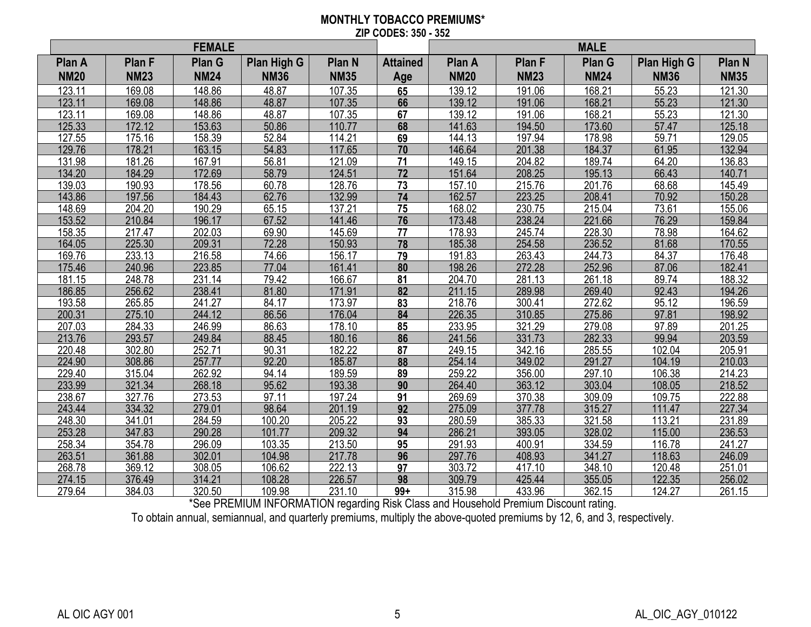#### **MONTHLY TOBACCO PREMIUMS\* ZIP CODES: 350 - 352**

| <b>FEMALE</b>         |                              |                       |                            |                       |                        | <b>MALE</b>           |                              |                       |                            |                       |
|-----------------------|------------------------------|-----------------------|----------------------------|-----------------------|------------------------|-----------------------|------------------------------|-----------------------|----------------------------|-----------------------|
| Plan A<br><b>NM20</b> | <b>Plan F</b><br><b>NM23</b> | Plan G<br><b>NM24</b> | Plan High G<br><b>NM36</b> | Plan N<br><b>NM35</b> | <b>Attained</b><br>Age | Plan A<br><b>NM20</b> | <b>Plan F</b><br><b>NM23</b> | Plan G<br><b>NM24</b> | Plan High G<br><b>NM36</b> | Plan N<br><b>NM35</b> |
| 123.11                | 169.08                       | 148.86                | 48.87                      | 107.35                | 65                     | 139.12                | 191.06                       | 168.21                | 55.23                      | 121.30                |
| 123.11                | 169.08                       | 148.86                | 48.87                      | 107.35                | 66                     | 139.12                | 191.06                       | 168.21                | 55.23                      | 121.30                |
| 123.11                | 169.08                       | 148.86                | 48.87                      | 107.35                | 67                     | 139.12                | 191.06                       | 168.21                | 55.23                      | 121.30                |
| 125.33                | 172.12                       | 153.63                | 50.86                      | 110.77                | 68                     | 141.63                | 194.50                       | 173.60                | 57.47                      | 125.18                |
| 127.55                | 175.16                       | 158.39                | 52.84                      | 114.21                | 69                     | 144.13                | 197.94                       | 178.98                | 59.71                      | 129.05                |
| 129.76                | 178.21                       | 163.15                | 54.83                      | 117.65                | $\overline{70}$        | 146.64                | 201.38                       | 184.37                | 61.95                      | 132.94                |
| 131.98                | 181.26                       | 167.91                | 56.81                      | 121.09                | $\overline{71}$        | 149.15                | 204.82                       | 189.74                | 64.20                      | 136.83                |
| 134.20                | 184.29                       | 172.69                | 58.79                      | 124.51                | 72                     | 151.64                | 208.25                       | 195.13                | 66.43                      | 140.71                |
| 139.03                | 190.93                       | 178.56                | 60.78                      | 128.76                | 73                     | 157.10                | 215.76                       | 201.76                | 68.68                      | 145.49                |
| 143.86                | 197.56                       | 184.43                | 62.76                      | 132.99                | $\overline{74}$        | 162.57                | 223.25                       | 208.41                | 70.92                      | 150.28                |
| 148.69                | 204.20                       | 190.29                | 65.15                      | 137.21                | 75                     | 168.02                | 230.75                       | 215.04                | 73.61                      | 155.06                |
| 153.52                | 210.84                       | 196.17                | 67.52                      | 141.46                | 76                     | 173.48                | 238.24                       | 221.66                | 76.29                      | 159.84                |
| 158.35                | 217.47                       | 202.03                | 69.90                      | 145.69                | 77                     | 178.93                | 245.74                       | 228.30                | 78.98                      | 164.62                |
| 164.05                | 225.30                       | 209.31                | 72.28                      | 150.93                | 78                     | 185.38                | 254.58                       | 236.52                | 81.68                      | 170.55                |
| 169.76                | 233.13                       | 216.58                | 74.66                      | 156.17                | 79                     | 191.83                | 263.43                       | 244.73                | 84.37                      | 176.48                |
| 175.46                | 240.96                       | 223.85                | 77.04                      | 161.41                | 80                     | 198.26                | 272.28                       | 252.96                | 87.06                      | 182.41                |
| 181.15                | 248.78                       | 231.14                | 79.42                      | 166.67                | 81                     | 204.70                | 281.13                       | 261.18                | 89.74                      | 188.32                |
| 186.85                | 256.62                       | 238.41                | 81.80                      | 171.91                | $\overline{82}$        | 211.15                | 289.98                       | 269.40                | 92.43                      | 194.26                |
| 193.58                | 265.85                       | 241.27                | 84.17                      | 173.97                | 83                     | 218.76                | 300.41                       | 272.62                | 95.12                      | 196.59                |
| 200.31                | 275.10                       | 244.12                | 86.56                      | 176.04                | 84                     | 226.35                | 310.85                       | 275.86                | 97.81                      | 198.92                |
| 207.03                | 284.33                       | 246.99                | 86.63                      | 178.10                | 85                     | 233.95                | 321.29                       | 279.08                | 97.89                      | 201.25                |
| 213.76                | 293.57                       | 249.84                | 88.45                      | 180.16                | 86                     | 241.56                | 331.73                       | 282.33                | 99.94                      | 203.59                |
| 220.48                | 302.80                       | 252.71                | 90.31                      | 182.22                | 87                     | 249.15                | 342.16                       | 285.55                | 102.04                     | 205.91                |
| 224.90                | 308.86                       | 257.77                | 92.20                      | 185.87                | 88                     | 254.14                | 349.02                       | 291.27                | 104.19                     | 210.03                |
| 229.40                | 315.04                       | 262.92                | 94.14                      | 189.59                | 89                     | 259.22                | 356.00                       | 297.10                | 106.38                     | 214.23                |
| 233.99                | 321.34                       | 268.18                | 95.62                      | 193.38                | 90                     | 264.40                | 363.12                       | 303.04                | 108.05                     | 218.52                |
| 238.67                | 327.76                       | 273.53                | 97.11                      | 197.24                | 91                     | 269.69                | 370.38                       | 309.09                | 109.75                     | 222.88                |
| 243.44                | 334.32                       | 279.01                | 98.64                      | 201.19                | 92                     | 275.09                | 377.78                       | 315.27                | 111.47                     | 227.34                |
| 248.30                | 341.01                       | 284.59                | 100.20                     | 205.22                | 93                     | 280.59                | 385.33                       | 321.58                | 113.21                     | 231.89                |
| 253.28                | 347.83                       | 290.28                | 101.77                     | 209.32                | 94                     | 286.21                | 393.05                       | 328.02                | 115.00                     | 236.53                |
| 258.34                | 354.78                       | 296.09                | 103.35                     | 213.50                | 95                     | 291.93                | 400.91                       | 334.59                | 116.78                     | 241.27                |
| 263.51                | 361.88                       | 302.01                | 104.98                     | 217.78                | 96                     | 297.76                | 408.93                       | 341.27                | 118.63                     | 246.09                |
| 268.78                | 369.12                       | 308.05                | 106.62                     | 222.13                | 97                     | 303.72                | 417.10                       | 348.10                | 120.48                     | 251.01                |
| 274.15                | 376.49                       | 314.21                | 108.28                     | 226.57                | 98                     | 309.79                | 425.44                       | 355.05                | 122.35                     | 256.02                |
| 279.64                | 384.03                       | 320.50                | 109.98                     | 231.10                | $99+$                  | 315.98                | 433.96                       | 362.15                | 124.27                     | 261.15                |

\*See PREMIUM INFORMATION regarding Risk Class and Household Premium Discount rating.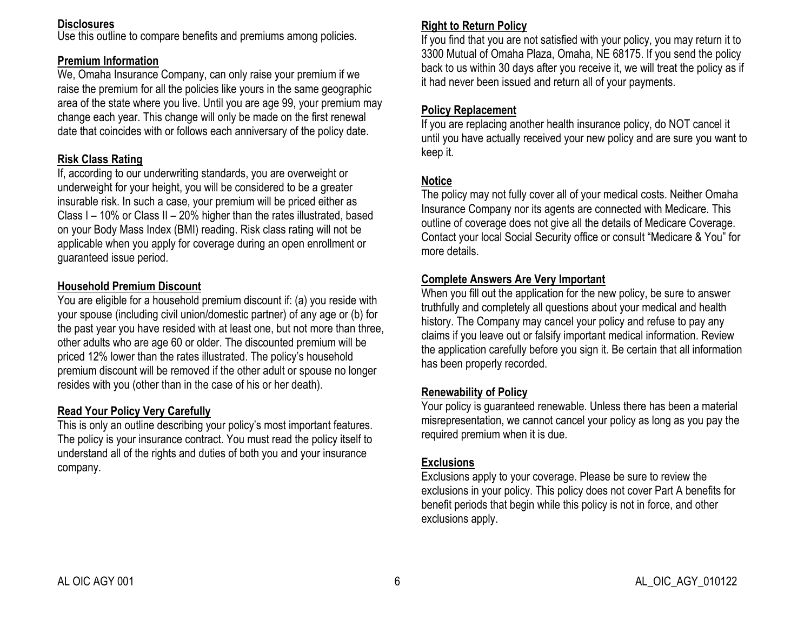#### **Disclosures**

Use this outline to compare benefits and premiums among policies.

## **Premium Information**

We, Omaha Insurance Company, can only raise your premium if we raise the premium for all the policies like yours in the same geographic area of the state where you live. Until you are age 99, your premium may change each year. This change will only be made on the first renewal date that coincides with or follows each anniversary of the policy date.

## **Risk Class Rating**

If, according to our underwriting standards, you are overweight or underweight for your height, you will be considered to be a greater insurable risk. In such a case, your premium will be priced either as Class I – 10% or Class II – 20% higher than the rates illustrated, based on your Body Mass Index (BMI) reading. Risk class rating will not be applicable when you apply for coverage during an open enrollment or guaranteed issue period.

## **Household Premium Discount**

You are eligible for a household premium discount if: (a) you reside with your spouse (including civil union/domestic partner) of any age or (b) for the past year you have resided with at least one, but not more than three, other adults who are age 60 or older. The discounted premium will be priced 12% lower than the rates illustrated. The policy's household premium discount will be removed if the other adult or spouse no longer resides with you (other than in the case of his or her death).

### **Read Your Policy Very Carefully**

This is only an outline describing your policy's most important features. The policy is your insurance contract. You must read the policy itself to understand all of the rights and duties of both you and your insurance company.

## **Right to Return Policy**

If you find that you are not satisfied with your policy, you may return it to 3300 Mutual of Omaha Plaza, Omaha, NE 68175. If you send the policy back to us within 30 days after you receive it, we will treat the policy as if it had never been issued and return all of your payments.

# **Policy Replacement**

If you are replacing another health insurance policy, do NOT cancel it until you have actually received your new policy and are sure you want to keep it.

## **Notice**

The policy may not fully cover all of your medical costs. Neither Omaha Insurance Company nor its agents are connected with Medicare. This outline of coverage does not give all the details of Medicare Coverage. Contact your local Social Security office or consult "Medicare & You" for more details.

#### **Complete Answers Are Very Important**

When you fill out the application for the new policy, be sure to answer truthfully and completely all questions about your medical and health history. The Company may cancel your policy and refuse to pay any claims if you leave out or falsify important medical information. Review the application carefully before you sign it. Be certain that all information has been properly recorded.

## **Renewability of Policy**

Your policy is guaranteed renewable. Unless there has been a material misrepresentation, we cannot cancel your policy as long as you pay the required premium when it is due.

### **Exclusions**

Exclusions apply to your coverage. Please be sure to review the exclusions in your policy. This policy does not cover Part A benefits for benefit periods that begin while this policy is not in force, and other exclusions apply.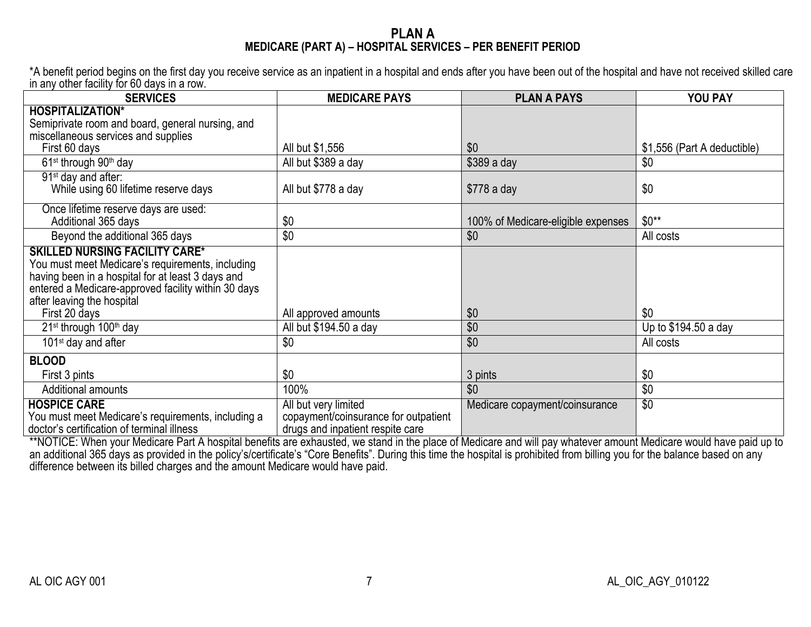#### **PLAN A MEDICARE (PART A) – HOSPITAL SERVICES – PER BENEFIT PERIOD**

\*A benefit period begins on the first day you receive service as an inpatient in a hospital and ends after you have been out of the hospital and have not received skilled care in any other facility for 60 days in a row.

| <b>SERVICES</b>                                                                                                                                                                                                                                      | <b>MEDICARE PAYS</b>                                                     | <b>PLAN A PAYS</b>                 | YOU PAY                     |
|------------------------------------------------------------------------------------------------------------------------------------------------------------------------------------------------------------------------------------------------------|--------------------------------------------------------------------------|------------------------------------|-----------------------------|
| <b>HOSPITALIZATION*</b>                                                                                                                                                                                                                              |                                                                          |                                    |                             |
| Semiprivate room and board, general nursing, and                                                                                                                                                                                                     |                                                                          |                                    |                             |
| miscellaneous services and supplies                                                                                                                                                                                                                  |                                                                          | \$0                                |                             |
| First 60 days                                                                                                                                                                                                                                        | All but \$1,556                                                          |                                    | \$1,556 (Part A deductible) |
| 61 <sup>st</sup> through 90 <sup>th</sup> day                                                                                                                                                                                                        | All but \$389 a day                                                      | \$389 a day                        | \$0                         |
| 91 <sup>st</sup> day and after:<br>While using 60 lifetime reserve days                                                                                                                                                                              | All but \$778 a day                                                      | $$778a$ day                        | \$0                         |
| Once lifetime reserve days are used:<br>Additional 365 days                                                                                                                                                                                          | \$0                                                                      | 100% of Medicare-eligible expenses | $$0**$                      |
| Beyond the additional 365 days                                                                                                                                                                                                                       | \$0                                                                      | \$0                                | All costs                   |
| <b>SKILLED NURSING FACILITY CARE*</b><br>You must meet Medicare's requirements, including<br>having been in a hospital for at least 3 days and<br>entered a Medicare-approved facility within 30 days<br>after leaving the hospital<br>First 20 days | All approved amounts                                                     | \$0                                | \$0                         |
| 21 <sup>st</sup> through 100 <sup>th</sup> day                                                                                                                                                                                                       | All but \$194.50 a day                                                   | \$0                                | Up to \$194.50 a day        |
| 101 <sup>st</sup> day and after                                                                                                                                                                                                                      | \$0                                                                      | \$0                                | All costs                   |
| <b>BLOOD</b>                                                                                                                                                                                                                                         |                                                                          |                                    |                             |
| First 3 pints                                                                                                                                                                                                                                        | \$0                                                                      | 3 pints                            | \$0                         |
| Additional amounts                                                                                                                                                                                                                                   | 100%                                                                     | \$0                                | \$0                         |
| <b>HOSPICE CARE</b>                                                                                                                                                                                                                                  | All but very limited                                                     | Medicare copayment/coinsurance     | $\overline{30}$             |
| You must meet Medicare's requirements, including a<br>doctor's certification of terminal illness                                                                                                                                                     | copayment/coinsurance for outpatient<br>drugs and inpatient respite care |                                    |                             |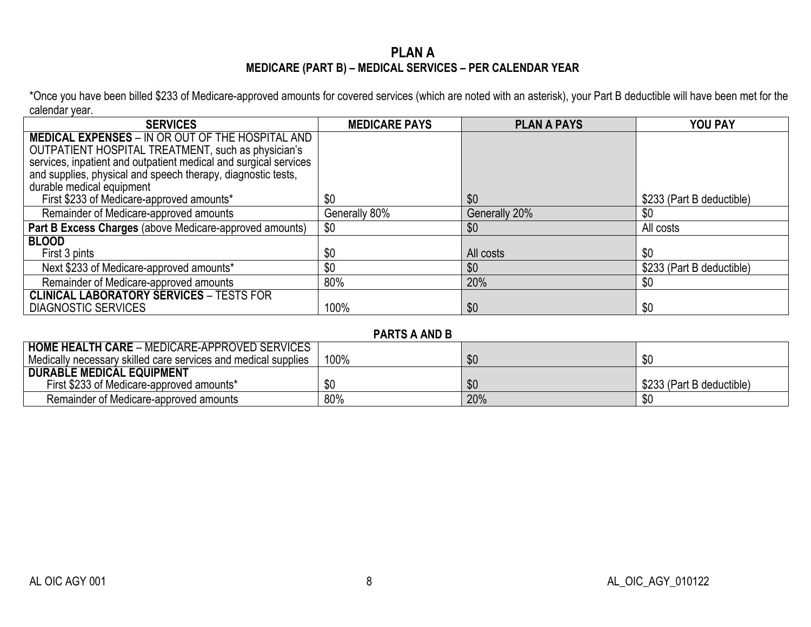# **PLAN A MEDICARE (PART B) – MEDICAL SERVICES – PER CALENDAR YEAR**

\*Once you have been billed \$233 of Medicare-approved amounts for covered services (which are noted with an asterisk), your Part B deductible will have been met for the calendar year.

| <b>SERVICES</b>                                                  | <b>MEDICARE PAYS</b> | <b>PLAN A PAYS</b> | <b>YOU PAY</b>            |
|------------------------------------------------------------------|----------------------|--------------------|---------------------------|
| <b>MEDICAL EXPENSES - IN OR OUT OF THE HOSPITAL AND</b>          |                      |                    |                           |
| OUTPATIENT HOSPITAL TREATMENT, such as physician's               |                      |                    |                           |
| services, inpatient and outpatient medical and surgical services |                      |                    |                           |
| and supplies, physical and speech therapy, diagnostic tests,     |                      |                    |                           |
| durable medical equipment                                        |                      |                    |                           |
| First \$233 of Medicare-approved amounts*                        | \$0                  | \$0                | \$233 (Part B deductible) |
| Remainder of Medicare-approved amounts                           | Generally 80%        | Generally 20%      | \$0                       |
| Part B Excess Charges (above Medicare-approved amounts)          | \$0                  | \$0                | All costs                 |
| <b>BLOOD</b>                                                     |                      |                    |                           |
| First 3 pints                                                    | \$0                  | All costs          | \$0                       |
| Next \$233 of Medicare-approved amounts*                         | \$0                  | \$0                | \$233 (Part B deductible) |
| Remainder of Medicare-approved amounts                           | 80%                  | 20%                | \$0                       |
| <b>CLINICAL LABORATORY SERVICES - TESTS FOR</b>                  |                      |                    |                           |
| <b>DIAGNOSTIC SERVICES</b>                                       | 100%                 | \$0                | \$0                       |

**PARTS A AND B**

| <b>HOME HEALTH CARE - MEDICARE-APPROVED SERVICES</b>           |      |     |                           |
|----------------------------------------------------------------|------|-----|---------------------------|
| Medically necessary skilled care services and medical supplies | 100% | \$0 |                           |
| <b>DURABLE MEDICAL EQUIPMENT</b>                               |      |     |                           |
| First \$233 of Medicare-approved amounts*                      | \$0  | \$0 | \$233 (Part B deductible) |
| Remainder of Medicare-approved amounts                         | 80%  | 20% |                           |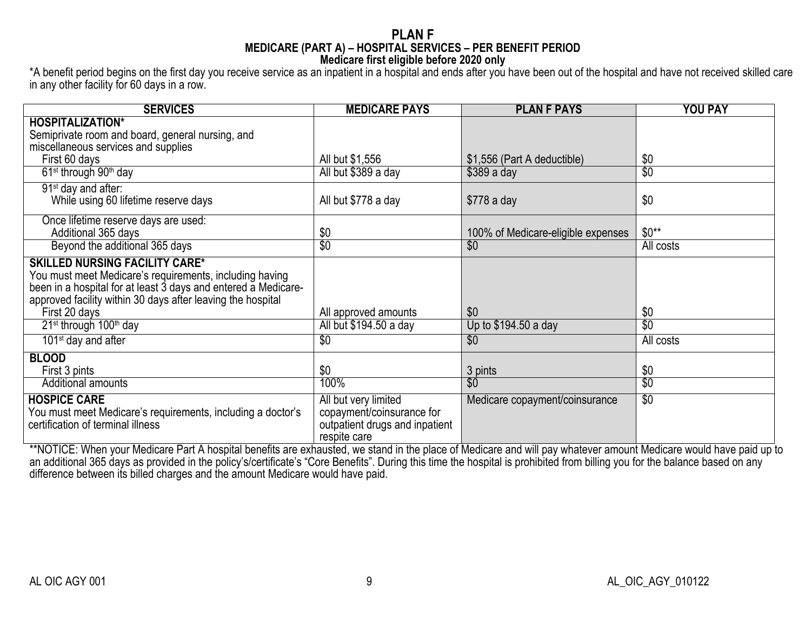#### **PLAN F MEDICARE (PART A) – HOSPITAL SERVICES – PER BENEFIT PERIOD Medicare first eligible before 2020 only**

\*A benefit period begins on the first day you receive service as an inpatient in a hospital and ends after you have been out of the hospital and have not received skilled care in any other facility for 60 days in a row.

| <b>SERVICES</b>                                                                                                                                                                                                                   | <b>MEDICARE PAYS</b>                                                                                | <b>PLAN F PAYS</b>                 | <b>YOU PAY</b>   |
|-----------------------------------------------------------------------------------------------------------------------------------------------------------------------------------------------------------------------------------|-----------------------------------------------------------------------------------------------------|------------------------------------|------------------|
| <b>HOSPITALIZATION*</b>                                                                                                                                                                                                           |                                                                                                     |                                    |                  |
| Semiprivate room and board, general nursing, and                                                                                                                                                                                  |                                                                                                     |                                    |                  |
| miscellaneous services and supplies                                                                                                                                                                                               |                                                                                                     |                                    |                  |
| First 60 days                                                                                                                                                                                                                     | All but \$1,556                                                                                     | \$1,556 (Part A deductible)        | \$0              |
| 61 <sup>st</sup> through 90 <sup>th</sup> day                                                                                                                                                                                     | All but \$389 a day                                                                                 | $$389a$ day                        | $\overline{\$0}$ |
| 91 <sup>st</sup> day and after:                                                                                                                                                                                                   |                                                                                                     |                                    |                  |
| While using 60 lifetime reserve days                                                                                                                                                                                              | All but \$778 a day                                                                                 | $$778a$ day                        | \$0              |
| Once lifetime reserve days are used:                                                                                                                                                                                              |                                                                                                     |                                    |                  |
| Additional 365 days                                                                                                                                                                                                               | \$0                                                                                                 | 100% of Medicare-eligible expenses | $$0**$           |
| Beyond the additional 365 days                                                                                                                                                                                                    | $\overline{30}$                                                                                     | \$0                                | All costs        |
| <b>SKILLED NURSING FACILITY CARE*</b><br>You must meet Medicare's requirements, including having<br>been in a hospital for at least 3 days and entered a Medicare-<br>approved facility within 30 days after leaving the hospital |                                                                                                     |                                    |                  |
| First 20 days                                                                                                                                                                                                                     | All approved amounts                                                                                | \$0                                | \$0              |
| 21 <sup>st</sup> through 100 <sup>th</sup> day                                                                                                                                                                                    | All but \$194.50 a day                                                                              | Up to \$194.50 a day               | $\overline{30}$  |
| 101 <sup>st</sup> day and after                                                                                                                                                                                                   | $\overline{30}$                                                                                     | $\overline{50}$                    | All costs        |
| <b>BLOOD</b>                                                                                                                                                                                                                      |                                                                                                     |                                    |                  |
| First 3 pints                                                                                                                                                                                                                     | \$0                                                                                                 | 3 pints                            | \$0              |
| <b>Additional amounts</b>                                                                                                                                                                                                         | 100%                                                                                                | $\overline{30}$                    | $\overline{\$0}$ |
| <b>HOSPICE CARE</b><br>You must meet Medicare's requirements, including a doctor's<br>certification of terminal illness                                                                                                           | All but very limited<br>copayment/coinsurance for<br>outpatient drugs and inpatient<br>respite care | Medicare copayment/coinsurance     | $\overline{30}$  |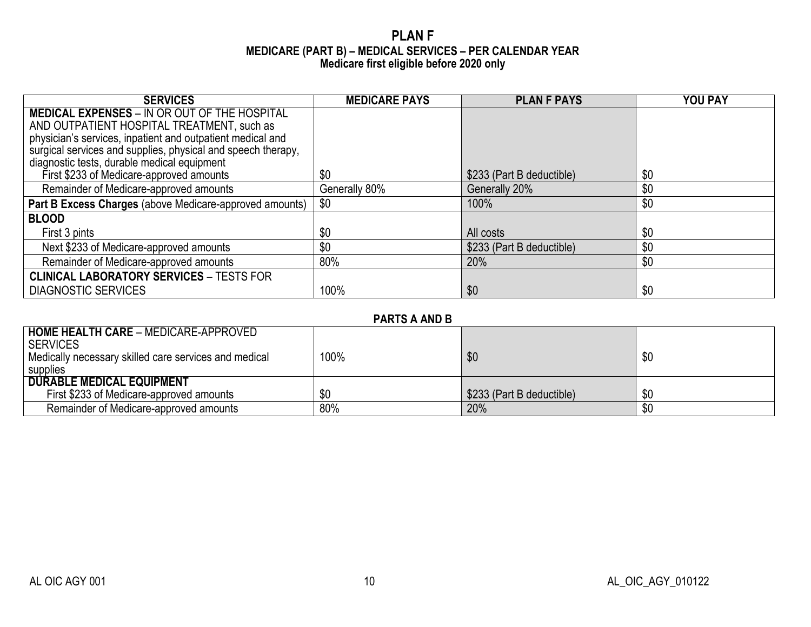### **PLAN F MEDICARE (PART B) – MEDICAL SERVICES – PER CALENDAR YEAR Medicare first eligible before 2020 only**

| <b>SERVICES</b>                                              | <b>MEDICARE PAYS</b> | <b>PLAN F PAYS</b>        | <b>YOU PAY</b> |
|--------------------------------------------------------------|----------------------|---------------------------|----------------|
| <b>MEDICAL EXPENSES - IN OR OUT OF THE HOSPITAL</b>          |                      |                           |                |
| AND OUTPATIENT HOSPITAL TREATMENT, such as                   |                      |                           |                |
| physician's services, inpatient and outpatient medical and   |                      |                           |                |
| surgical services and supplies, physical and speech therapy, |                      |                           |                |
| diagnostic tests, durable medical equipment                  |                      |                           |                |
| First \$233 of Medicare-approved amounts                     | \$0                  | \$233 (Part B deductible) | \$0            |
| Remainder of Medicare-approved amounts                       | Generally 80%        | Generally 20%             | \$0            |
| Part B Excess Charges (above Medicare-approved amounts)      | \$0                  | 100%                      | \$0            |
| <b>BLOOD</b>                                                 |                      |                           |                |
| First 3 pints                                                | \$0                  | All costs                 | \$0            |
| Next \$233 of Medicare-approved amounts                      | \$0                  | \$233 (Part B deductible) | \$0            |
| Remainder of Medicare-approved amounts                       | 80%                  | 20%                       | \$0            |
| <b>CLINICAL LABORATORY SERVICES - TESTS FOR</b>              |                      |                           |                |
| <b>DIAGNOSTIC SERVICES</b>                                   | 100%                 | \$0                       | \$0            |

| <b>PARTS A AND B</b> |  |  |  |
|----------------------|--|--|--|
|----------------------|--|--|--|

| <b>HOME HEALTH CARE - MEDICARE-APPROVED</b><br>I SERVICES |      |                           |     |
|-----------------------------------------------------------|------|---------------------------|-----|
| Medically necessary skilled care services and medical     | 100% | \$0                       | \$0 |
| supplies                                                  |      |                           |     |
| <b>DURABLE MEDICAL EQUIPMENT</b>                          |      |                           |     |
| First \$233 of Medicare-approved amounts                  | \$0  | \$233 (Part B deductible) | \$0 |
| Remainder of Medicare-approved amounts                    | 80%  | 20%                       | \$0 |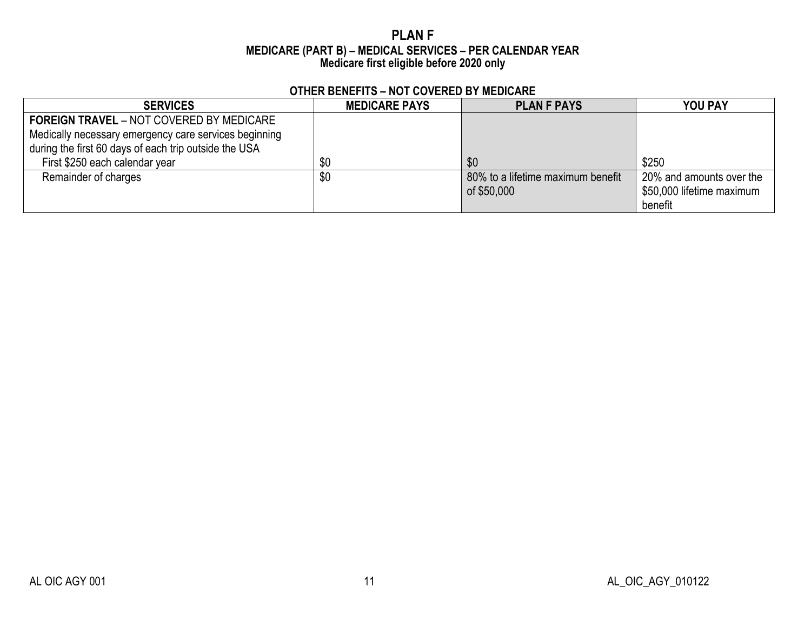### **PLAN F MEDICARE (PART B) – MEDICAL SERVICES – PER CALENDAR YEAR Medicare first eligible before 2020 only**

| <b>SERVICES</b>                                                                                                                                                   | <b>MEDICARE PAYS</b> | <b>PLAN F PAYS</b>                               | <b>YOU PAY</b>                                                   |
|-------------------------------------------------------------------------------------------------------------------------------------------------------------------|----------------------|--------------------------------------------------|------------------------------------------------------------------|
| <b>FOREIGN TRAVEL - NOT COVERED BY MEDICARE</b><br>Medically necessary emergency care services beginning<br>during the first 60 days of each trip outside the USA |                      |                                                  |                                                                  |
| First \$250 each calendar year                                                                                                                                    | \$0                  | \$0                                              | \$250                                                            |
| Remainder of charges                                                                                                                                              | \$0                  | 80% to a lifetime maximum benefit<br>of \$50,000 | 20% and amounts over the<br>\$50,000 lifetime maximum<br>benefit |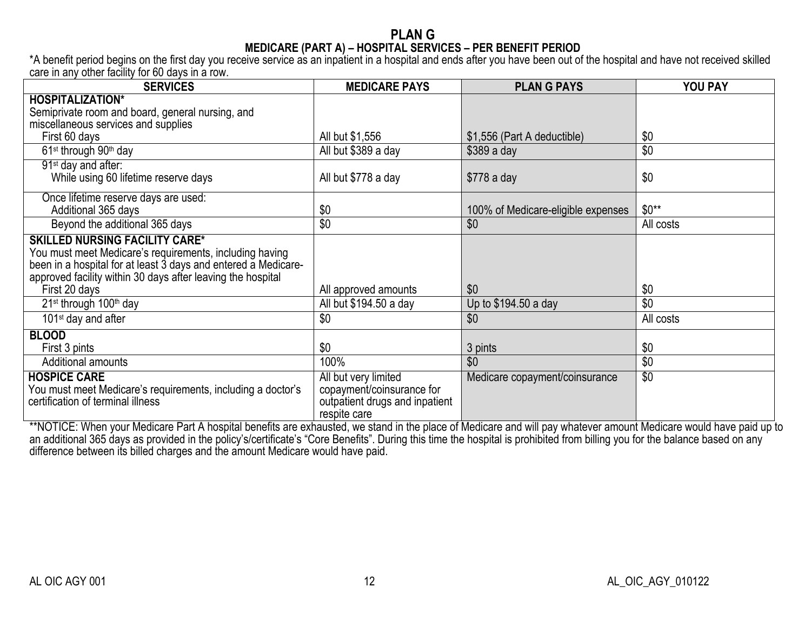### **PLAN G MEDICARE (PART A) – HOSPITAL SERVICES – PER BENEFIT PERIOD**

\*A benefit period begins on the first day you receive service as an inpatient in a hospital and ends after you have been out of the hospital and have not received skilled care in any other facility for 60 days in a row.

| <b>SERVICES</b>                                                                                                                                                                                                                   | <b>MEDICARE PAYS</b>                                                                                | <b>PLAN G PAYS</b>                 | YOU PAY         |
|-----------------------------------------------------------------------------------------------------------------------------------------------------------------------------------------------------------------------------------|-----------------------------------------------------------------------------------------------------|------------------------------------|-----------------|
| <b>HOSPITALIZATION*</b>                                                                                                                                                                                                           |                                                                                                     |                                    |                 |
| Semiprivate room and board, general nursing, and                                                                                                                                                                                  |                                                                                                     |                                    |                 |
| miscellaneous services and supplies                                                                                                                                                                                               |                                                                                                     |                                    |                 |
| First 60 days                                                                                                                                                                                                                     | All but \$1,556                                                                                     | \$1,556 (Part A deductible)        | \$0             |
| 61 <sup>st</sup> through 90 <sup>th</sup> day                                                                                                                                                                                     | All but \$389 a day                                                                                 | $$389a$ day                        | \$0             |
| 91 <sup>st</sup> day and after:                                                                                                                                                                                                   |                                                                                                     |                                    |                 |
| While using 60 lifetime reserve days                                                                                                                                                                                              | All but \$778 a day                                                                                 | $$778$ a day                       | \$0             |
| Once lifetime reserve days are used:                                                                                                                                                                                              |                                                                                                     |                                    |                 |
| Additional 365 days                                                                                                                                                                                                               | \$0                                                                                                 | 100% of Medicare-eligible expenses | $$0**$          |
| Beyond the additional 365 days                                                                                                                                                                                                    | \$0                                                                                                 | \$0                                | All costs       |
| <b>SKILLED NURSING FACILITY CARE*</b><br>You must meet Medicare's requirements, including having<br>been in a hospital for at least 3 days and entered a Medicare-<br>approved facility within 30 days after leaving the hospital |                                                                                                     |                                    |                 |
| First 20 days                                                                                                                                                                                                                     | All approved amounts                                                                                | \$0                                | \$0             |
| 21 <sup>st</sup> through 100 <sup>th</sup> day                                                                                                                                                                                    | All but \$194.50 a day                                                                              | Up to \$194.50 a day               | \$0             |
| 101 <sup>st</sup> day and after                                                                                                                                                                                                   | \$0                                                                                                 | \$0                                | All costs       |
| <b>BLOOD</b>                                                                                                                                                                                                                      |                                                                                                     |                                    |                 |
| First 3 pints                                                                                                                                                                                                                     | \$0                                                                                                 | 3 pints                            | \$0             |
| <b>Additional amounts</b>                                                                                                                                                                                                         | 100%                                                                                                | \$0                                | \$0             |
| <b>HOSPICE CARE</b><br>You must meet Medicare's requirements, including a doctor's<br>certification of terminal illness                                                                                                           | All but very limited<br>copayment/coinsurance for<br>outpatient drugs and inpatient<br>respite care | Medicare copayment/coinsurance     | $\overline{30}$ |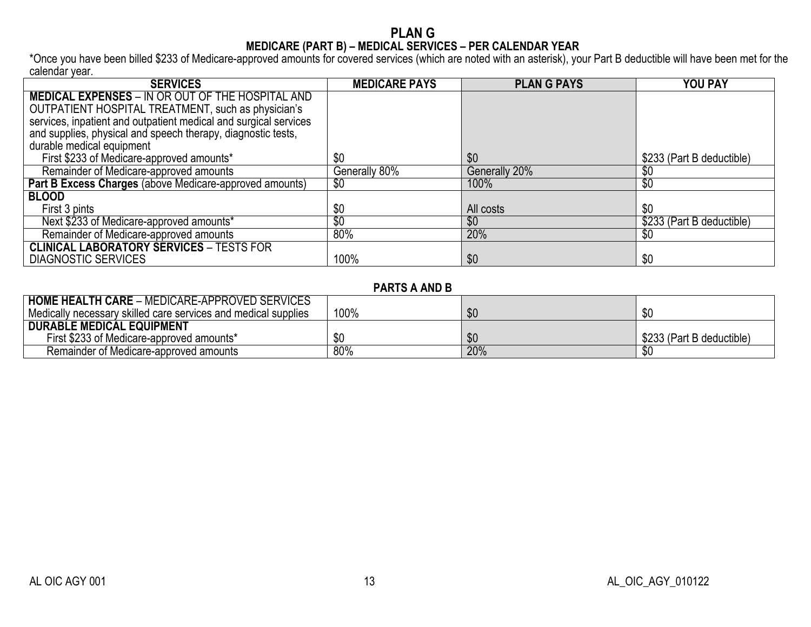#### **PLAN G MEDICARE (PART B) – MEDICAL SERVICES – PER CALENDAR YEAR**

\*Once you have been billed \$233 of Medicare-approved amounts for covered services (which are noted with an asterisk), your Part B deductible will have been met for the calendar year.

| <b>SERVICES</b>                                                  | <b>MEDICARE PAYS</b> | <b>PLAN G PAYS</b> | <b>YOU PAY</b>            |
|------------------------------------------------------------------|----------------------|--------------------|---------------------------|
| <b>MEDICAL EXPENSES - IN OR OUT OF THE HOSPITAL AND</b>          |                      |                    |                           |
| OUTPATIENT HOSPITAL TREATMENT, such as physician's               |                      |                    |                           |
| services, inpatient and outpatient medical and surgical services |                      |                    |                           |
| and supplies, physical and speech therapy, diagnostic tests,     |                      |                    |                           |
| durable medical equipment                                        |                      |                    |                           |
| First \$233 of Medicare-approved amounts*                        | \$0                  | \$0                | \$233 (Part B deductible) |
| Remainder of Medicare-approved amounts                           | Generally 80%        | Generally 20%      | \$0                       |
| Part B Excess Charges (above Medicare-approved amounts)          | \$0                  | 100%               | $\sqrt[6]{30}$            |
| <b>BLOOD</b>                                                     |                      |                    |                           |
| First 3 pints                                                    | \$0                  | All costs          | \$0                       |
| Next \$233 of Medicare-approved amounts*                         | \$0                  | \$0                | \$233 (Part B deductible) |
| Remainder of Medicare-approved amounts                           | 80%                  | 20%                | \$0                       |
| <b>CLINICAL LABORATORY SERVICES - TESTS FOR</b>                  |                      |                    |                           |
| <b>DIAGNOSTIC SERVICES</b>                                       | 100%                 | \$0                | \$0                       |

### **PARTS A AND B**

| <b>HOME HEALTH CARE - MEDICARE-APPROVED SERVICES</b>           |      |     |                           |
|----------------------------------------------------------------|------|-----|---------------------------|
| Medically necessary skilled care services and medical supplies | 100% | \$0 | n n                       |
| <b>DURABLE MEDICAL EQUIPMENT</b>                               |      |     |                           |
| First \$233 of Medicare-approved amounts*                      |      | \$0 | \$233 (Part B deductible) |
| Remainder of Medicare-approved amounts                         | 80%  | 20% |                           |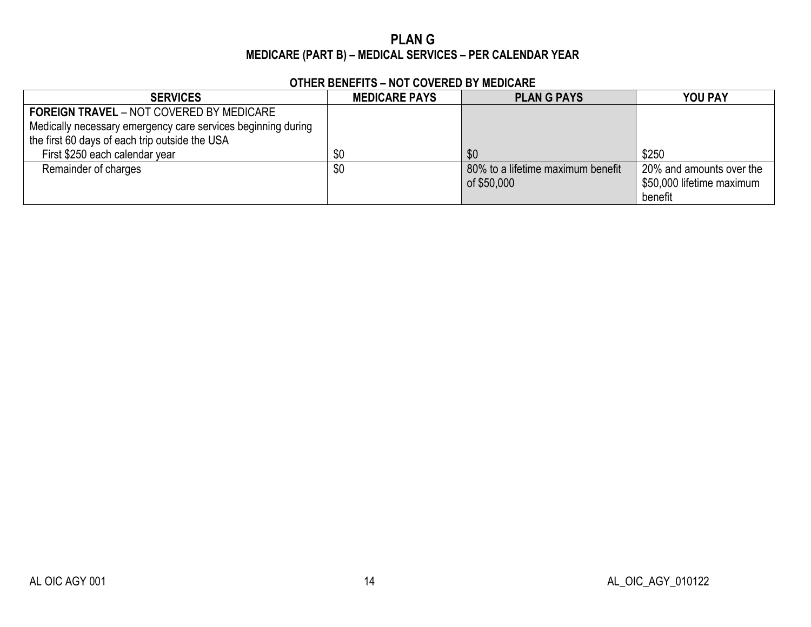# **PLAN G MEDICARE (PART B) – MEDICAL SERVICES – PER CALENDAR YEAR**

| <b>SERVICES</b>                                              | <b>MEDICARE PAYS</b> | <b>PLANG PAYS</b>                 | <b>YOU PAY</b>            |
|--------------------------------------------------------------|----------------------|-----------------------------------|---------------------------|
| <b>FOREIGN TRAVEL - NOT COVERED BY MEDICARE</b>              |                      |                                   |                           |
| Medically necessary emergency care services beginning during |                      |                                   |                           |
| the first 60 days of each trip outside the USA               |                      |                                   |                           |
| First \$250 each calendar year                               | \$0                  | \$0                               | \$250                     |
| Remainder of charges                                         | \$0                  | 80% to a lifetime maximum benefit | 20% and amounts over the  |
|                                                              |                      | of \$50,000                       | \$50,000 lifetime maximum |
|                                                              |                      |                                   | benefit                   |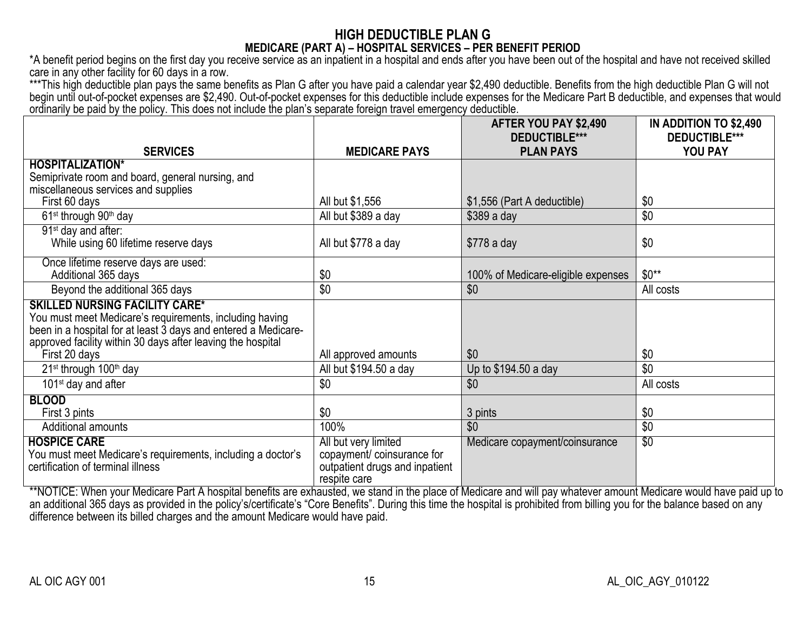# **HIGH DEDUCTIBLE PLAN G MEDICARE (PART A) – HOSPITAL SERVICES – PER BENEFIT PERIOD**

\*A benefit period begins on the first day you receive service as an inpatient in a hospital and ends after you have been out of the hospital and have not received skilled care in any other facility for 60 days in a row.

\*\*\*This high deductible plan pays the same benefits as Plan G after you have paid a calendar year \$2,490 deductible. Benefits from the high deductible Plan G will not begin until out-of-pocket expenses are \$2,490. Out-of-pocket expenses for this deductible include expenses for the Medicare Part B deductible, and expenses that would ordinarily be paid by the policy. This does not include the plan's separate foreign travel emergency deductible.

|                                                                                                                                                                                                                                                    |                                                                                                      | AFTER YOU PAY \$2,490                    | IN ADDITION TO \$2,490          |
|----------------------------------------------------------------------------------------------------------------------------------------------------------------------------------------------------------------------------------------------------|------------------------------------------------------------------------------------------------------|------------------------------------------|---------------------------------|
| <b>SERVICES</b>                                                                                                                                                                                                                                    | <b>MEDICARE PAYS</b>                                                                                 | <b>DEDUCTIBLE***</b><br><b>PLAN PAYS</b> | <b>DEDUCTIBLE***</b><br>YOU PAY |
| <b>HOSPITALIZATION*</b>                                                                                                                                                                                                                            |                                                                                                      |                                          |                                 |
| Semiprivate room and board, general nursing, and                                                                                                                                                                                                   |                                                                                                      |                                          |                                 |
| miscellaneous services and supplies                                                                                                                                                                                                                |                                                                                                      |                                          |                                 |
| First 60 days                                                                                                                                                                                                                                      | All but \$1,556                                                                                      | \$1,556 (Part A deductible)              | \$0                             |
| 61 <sup>st</sup> through 90 <sup>th</sup> day                                                                                                                                                                                                      | All but \$389 a day                                                                                  | $$389a$ day                              | \$0                             |
| 91 <sup>st</sup> day and after:<br>While using 60 lifetime reserve days                                                                                                                                                                            | All but \$778 a day                                                                                  | $$778$ a day                             | \$0                             |
|                                                                                                                                                                                                                                                    |                                                                                                      |                                          |                                 |
| Once lifetime reserve days are used:<br>Additional 365 days                                                                                                                                                                                        | \$0                                                                                                  | 100% of Medicare-eligible expenses       | $$0**$                          |
| Beyond the additional 365 days                                                                                                                                                                                                                     | \$0                                                                                                  | \$0                                      | All costs                       |
| <b>SKILLED NURSING FACILITY CARE*</b><br>You must meet Medicare's requirements, including having<br>been in a hospital for at least 3 days and entered a Medicare-<br>approved facility within 30 days after leaving the hospital<br>First 20 days | All approved amounts                                                                                 | \$0                                      | \$0                             |
| 21 <sup>st</sup> through 100 <sup>th</sup> day                                                                                                                                                                                                     | All but \$194.50 a day                                                                               | Up to \$194.50 a day                     | \$0                             |
| 101 <sup>st</sup> day and after                                                                                                                                                                                                                    | \$0                                                                                                  | \$0                                      | All costs                       |
| <b>BLOOD</b>                                                                                                                                                                                                                                       |                                                                                                      |                                          |                                 |
| First 3 pints                                                                                                                                                                                                                                      | \$0                                                                                                  | 3 pints                                  | \$0                             |
| <b>Additional amounts</b>                                                                                                                                                                                                                          | 100%                                                                                                 | \$0                                      | \$0                             |
| <b>HOSPICE CARE</b><br>You must meet Medicare's requirements, including a doctor's<br>certification of terminal illness                                                                                                                            | All but very limited<br>copayment/ coinsurance for<br>outpatient drugs and inpatient<br>respite care | Medicare copayment/coinsurance           | $\overline{30}$                 |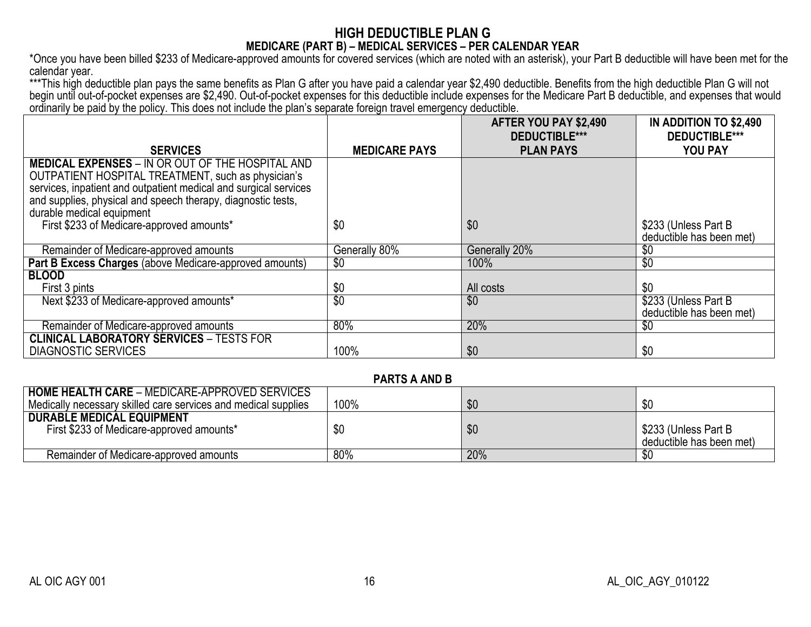### **HIGH DEDUCTIBLE PLAN G MEDICARE (PART B) – MEDICAL SERVICES – PER CALENDAR YEAR**

\*Once you have been billed \$233 of Medicare-approved amounts for covered services (which are noted with an asterisk), your Part B deductible will have been met for the calendar year.

\*\*\*This high deductible plan pays the same benefits as Plan G after you have paid a calendar year \$2,490 deductible. Benefits from the high deductible Plan G will not begin until out-of-pocket expenses are \$2,490. Out-of-pocket expenses for this deductible include expenses for the Medicare Part B deductible, and expenses that would ordinarily be paid by the policy. This does not include the plan's separate foreign travel emergency deductible.

|                                                                                                                                                                                   |                      | AFTER YOU PAY \$2,490<br><b>DEDUCTIBLE***</b> | IN ADDITION TO \$2,490<br><b>DEDUCTIBLE***</b>    |
|-----------------------------------------------------------------------------------------------------------------------------------------------------------------------------------|----------------------|-----------------------------------------------|---------------------------------------------------|
| <b>SERVICES</b>                                                                                                                                                                   | <b>MEDICARE PAYS</b> | <b>PLAN PAYS</b>                              | <b>YOU PAY</b>                                    |
| <b>MEDICAL EXPENSES - IN OR OUT OF THE HOSPITAL AND</b><br>OUTPATIENT HOSPITAL TREATMENT, such as physician's<br>services, inpatient and outpatient medical and surgical services |                      |                                               |                                                   |
| and supplies, physical and speech therapy, diagnostic tests,<br>durable medical equipment                                                                                         |                      |                                               |                                                   |
| First \$233 of Medicare-approved amounts*                                                                                                                                         | \$0                  | \$0                                           | \$233 (Unless Part B)<br>deductible has been met) |
| Remainder of Medicare-approved amounts                                                                                                                                            | Generally 80%        | Generally 20%                                 | \$0                                               |
| Part B Excess Charges (above Medicare-approved amounts)                                                                                                                           | \$0                  | 100%                                          | $\sqrt[6]{}$                                      |
| <b>BLOOD</b>                                                                                                                                                                      |                      |                                               |                                                   |
| First 3 pints                                                                                                                                                                     | \$0                  | All costs                                     | \$0                                               |
| Next \$233 of Medicare-approved amounts*                                                                                                                                          | $\overline{30}$      | \$0                                           | \$233 (Unless Part B<br>deductible has been met)  |
| Remainder of Medicare-approved amounts                                                                                                                                            | 80%                  | 20%                                           | \$0                                               |
| <b>CLINICAL LABORATORY SERVICES - TESTS FOR</b>                                                                                                                                   |                      |                                               |                                                   |
| <b>DIAGNOSTIC SERVICES</b>                                                                                                                                                        | 100%                 | \$0                                           | \$0                                               |

#### **PARTS A AND B**

| <b>HOME HEALTH CARE - MEDICARE-APPROVED SERVICES</b><br>Medically necessary skilled care services and medical supplies | 100% | \$0 | \$0                                              |
|------------------------------------------------------------------------------------------------------------------------|------|-----|--------------------------------------------------|
| <b>DURABLE MEDICAL EQUIPMENT</b><br>First \$233 of Medicare-approved amounts*                                          | \$0  | \$0 | \$233 (Unless Part B<br>deductible has been met) |
| Remainder of Medicare-approved amounts                                                                                 | 80%  | 20% |                                                  |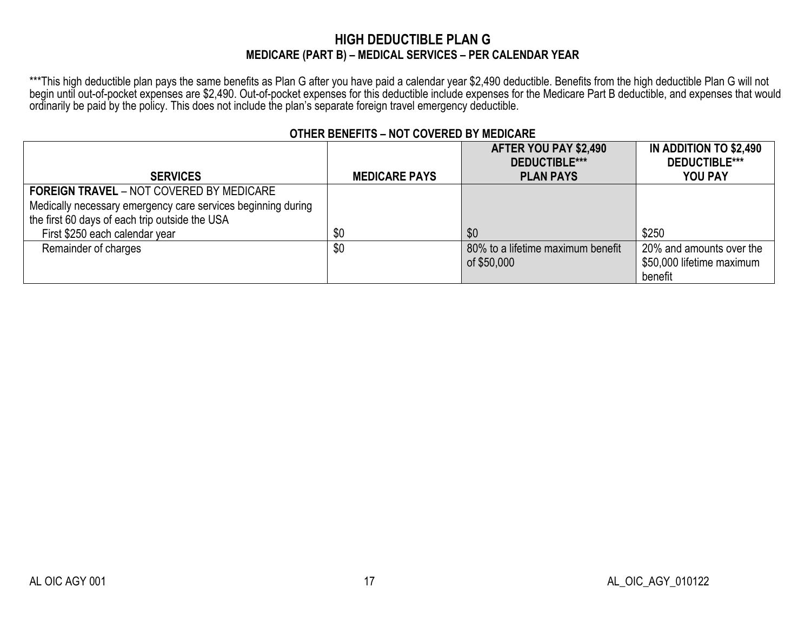# **HIGH DEDUCTIBLE PLAN G MEDICARE (PART B) – MEDICAL SERVICES – PER CALENDAR YEAR**

\*\*\*This high deductible plan pays the same benefits as Plan G after you have paid a calendar year \$2,490 deductible. Benefits from the high deductible Plan G will not begin until out-of-pocket expenses are \$2,490. Out-of-pocket expenses for this deductible include expenses for the Medicare Part B deductible, and expenses that would ordinarily be paid by the policy. This does not include the plan's separate foreign travel emergency deductible.

|                                                              |                      | AFTER YOU PAY \$2,490             | IN ADDITION TO \$2,490    |
|--------------------------------------------------------------|----------------------|-----------------------------------|---------------------------|
|                                                              |                      | DEDUCTIBLE***                     | <b>DEDUCTIBLE***</b>      |
| <b>SERVICES</b>                                              | <b>MEDICARE PAYS</b> | <b>PLAN PAYS</b>                  | <b>YOU PAY</b>            |
| <b>FOREIGN TRAVEL - NOT COVERED BY MEDICARE</b>              |                      |                                   |                           |
| Medically necessary emergency care services beginning during |                      |                                   |                           |
| the first 60 days of each trip outside the USA               |                      |                                   |                           |
| First \$250 each calendar year                               | \$0                  | \$0                               | \$250                     |
| Remainder of charges                                         | \$0                  | 80% to a lifetime maximum benefit | 20% and amounts over the  |
|                                                              |                      | of \$50,000                       | \$50,000 lifetime maximum |
|                                                              |                      |                                   | benefit                   |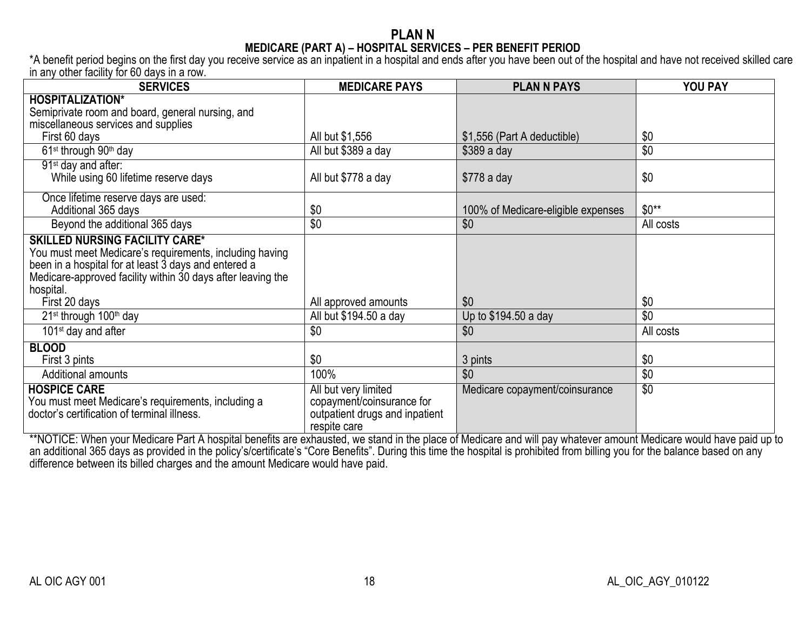## **PLAN N MEDICARE (PART A) – HOSPITAL SERVICES – PER BENEFIT PERIOD**

\*A benefit period begins on the first day you receive service as an inpatient in a hospital and ends after you have been out of the hospital and have not received skilled care in any other facility for 60 days in a row.

| <b>SERVICES</b>                                             | <b>MEDICARE PAYS</b>           | <b>PLAN N PAYS</b>                 | YOU PAY         |
|-------------------------------------------------------------|--------------------------------|------------------------------------|-----------------|
| <b>HOSPITALIZATION*</b>                                     |                                |                                    |                 |
| Semiprivate room and board, general nursing, and            |                                |                                    |                 |
| miscellaneous services and supplies                         |                                |                                    |                 |
| First 60 days                                               | All but \$1,556                | \$1,556 (Part A deductible)        | \$0             |
| 61 <sup>st</sup> through 90 <sup>th</sup> day               | All but \$389 a day            | $$389$ a day                       | \$0             |
| 91 <sup>st</sup> day and after:                             |                                |                                    |                 |
| While using 60 lifetime reserve days                        | All but \$778 a day            | $$778$ a day                       | \$0             |
| Once lifetime reserve days are used:                        |                                |                                    |                 |
| Additional 365 days                                         | \$0                            | 100% of Medicare-eligible expenses | $$0**$          |
| Beyond the additional 365 days                              | \$0                            | \$0                                | All costs       |
| <b>SKILLED NURSING FACILITY CARE*</b>                       |                                |                                    |                 |
| You must meet Medicare's requirements, including having     |                                |                                    |                 |
| been in a hospital for at least 3 days and entered a        |                                |                                    |                 |
| Medicare-approved facility within 30 days after leaving the |                                |                                    |                 |
| hospital.                                                   |                                | \$0                                |                 |
| First 20 days                                               | All approved amounts           |                                    | \$0             |
| 21 <sup>st</sup> through 100 <sup>th</sup> day              | All but \$194.50 a day         | Up to \$194.50 a day               | \$0             |
| 101 <sup>st</sup> day and after                             | \$0                            | \$0                                | All costs       |
| <b>BLOOD</b>                                                |                                |                                    |                 |
| First 3 pints                                               | \$0                            | 3 pints                            | \$0             |
| Additional amounts                                          | 100%                           | \$0                                | \$0             |
| <b>HOSPICE CARE</b>                                         | All but very limited           | Medicare copayment/coinsurance     | $\overline{50}$ |
| You must meet Medicare's requirements, including a          | copayment/coinsurance for      |                                    |                 |
| doctor's certification of terminal illness.                 | outpatient drugs and inpatient |                                    |                 |
|                                                             | respite care                   |                                    |                 |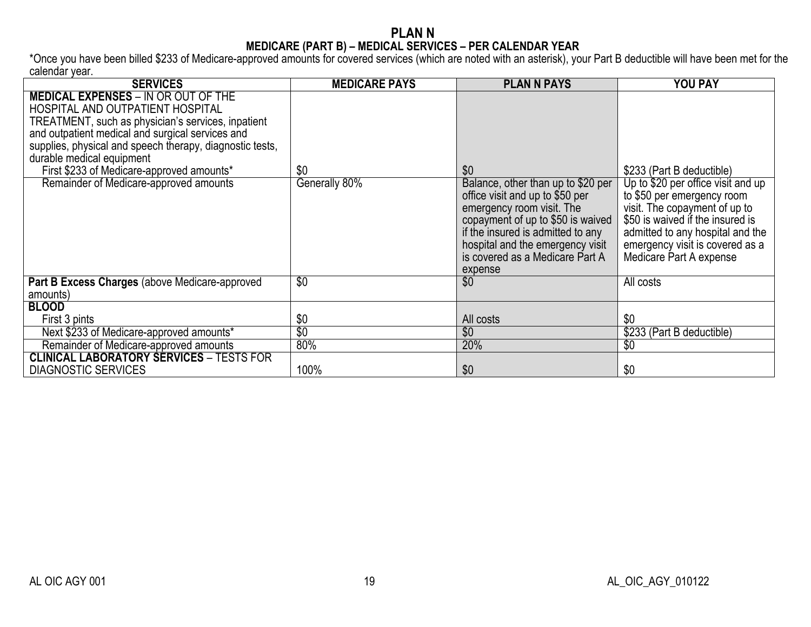#### **PLAN N MEDICARE (PART B) – MEDICAL SERVICES – PER CALENDAR YEAR**

\*Once you have been billed \$233 of Medicare-approved amounts for covered services (which are noted with an asterisk), your Part B deductible will have been met for the calendar year.

| <b>SERVICES</b>                                                                                                                                                                                                                                                                                                                                                          | <b>MEDICARE PAYS</b> | <b>PLAN N PAYS</b>                                                                                                                                                                                                                                                    | <b>YOU PAY</b>                                                                                                                                                                                                                                                       |
|--------------------------------------------------------------------------------------------------------------------------------------------------------------------------------------------------------------------------------------------------------------------------------------------------------------------------------------------------------------------------|----------------------|-----------------------------------------------------------------------------------------------------------------------------------------------------------------------------------------------------------------------------------------------------------------------|----------------------------------------------------------------------------------------------------------------------------------------------------------------------------------------------------------------------------------------------------------------------|
| <b>MEDICAL EXPENSES - IN OR OUT OF THE</b><br>HOSPITAL AND OUTPATIENT HOSPITAL<br>TREATMENT, such as physician's services, inpatient<br>and outpatient medical and surgical services and<br>supplies, physical and speech therapy, diagnostic tests,<br>durable medical equipment<br>First \$233 of Medicare-approved amounts*<br>Remainder of Medicare-approved amounts | \$0<br>Generally 80% | \$0<br>Balance, other than up to \$20 per<br>office visit and up to \$50 per<br>emergency room visit. The<br>copayment of up to \$50 is waived<br>if the insured is admitted to any<br>hospital and the emergency visit<br>is covered as a Medicare Part A<br>expense | \$233 (Part B deductible)<br>Up to \$20 per office visit and up<br>to \$50 per emergency room<br>visit. The copayment of up to<br>\$50 is waived if the insured is<br>admitted to any hospital and the<br>emergency visit is covered as a<br>Medicare Part A expense |
| Part B Excess Charges (above Medicare-approved<br>amounts)                                                                                                                                                                                                                                                                                                               | $\overline{30}$      | \$0                                                                                                                                                                                                                                                                   | All costs                                                                                                                                                                                                                                                            |
| <b>BLOOD</b>                                                                                                                                                                                                                                                                                                                                                             |                      |                                                                                                                                                                                                                                                                       |                                                                                                                                                                                                                                                                      |
| First 3 pints                                                                                                                                                                                                                                                                                                                                                            | \$0                  | All costs                                                                                                                                                                                                                                                             | \$0                                                                                                                                                                                                                                                                  |
| Next \$233 of Medicare-approved amounts*                                                                                                                                                                                                                                                                                                                                 | $\overline{50}$      | $\overline{50}$                                                                                                                                                                                                                                                       | \$233 (Part B deductible)                                                                                                                                                                                                                                            |
| Remainder of Medicare-approved amounts                                                                                                                                                                                                                                                                                                                                   | 80%                  | 20%                                                                                                                                                                                                                                                                   | \$0                                                                                                                                                                                                                                                                  |
| <b>CLINICAL LABORATORY SERVICES - TESTS FOR</b><br><b>DIAGNOSTIC SERVICES</b>                                                                                                                                                                                                                                                                                            | 100%                 | \$0                                                                                                                                                                                                                                                                   | \$0                                                                                                                                                                                                                                                                  |